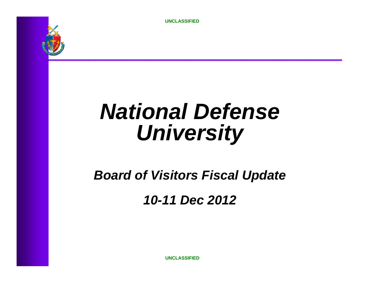

# *National Defense University*

*Board of Visitors Fiscal Update*

*10-11 Dec 2012*

**UNCLASSIFIED**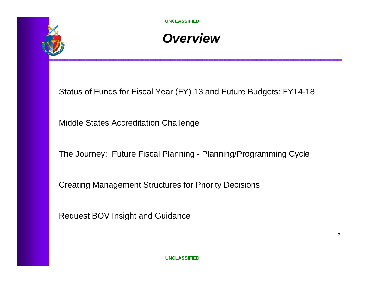

### *Overview*

Status of Funds for Fiscal Year (FY) 13 and Future Budgets: FY14-18

Middle States Accreditation Challenge

The Journey: Future Fiscal Planning - Planning/Programming Cycle

Creating Management Structures for Priority Decisions

Request BOV Insight and Guidance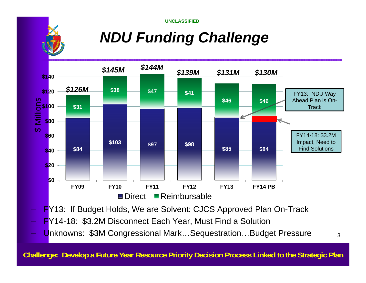## *NDU Funding Challenge*



- FY14-18: \$3.2M Disconnect Each Year, Must Find a Solution
- <mark>– U</mark>nknowns: \$3M Congressional Mark…Sequestration…Budget Pressure <sub>3</sub>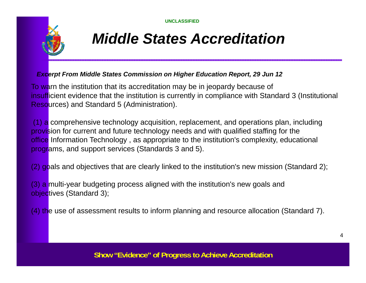

### *Middle States Accreditation*

#### *Excerpt From Middle States Commission on Higher Education Report, 29 Jun 12*

To warn the institution that its accreditation may be in jeopardy because of insufficient evidence that the institution is currently in compliance with Standard 3 (Institutional Resources) and Standard 5 (Administration).

 $(1)$  a comprehensive technology acquisition, replacement, and operations plan, including provision for current and future technology needs and with qualified staffing for the office Information Technology, as appropriate to the institution's complexity, educational programs, and support services (Standards 3 and 5).

(2) goals and objectives that are clearly linked to the institution's new mission (Standard 2);

(3) a multi-year budgeting process aligned with the institution's new goals and objectives (Standard 3);

(4) the use of assessment results to inform planning and resource allocation (Standard 7).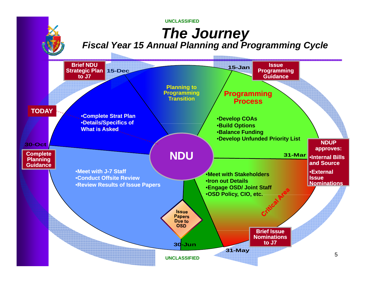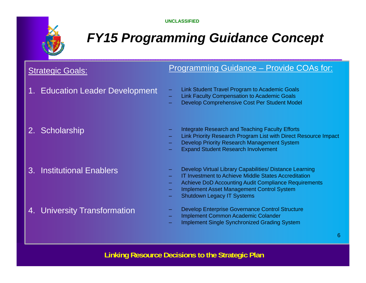

### *FY15 Programming Guidance Concept*

### **Strategic Goals:**

#### Programming Guidance – Provide COAs for:

- 1. Education Leader Development Link Student Travel Program to Academic Goals (2016)
- Link Student Travel Program to Academic Goal
	- Link Faculty Compensation to Academic Goals
	- Develop Comprehensive Cost Per Student Model

- 
- 2. Scholarship Integrate Research and Teaching Faculty Efforts
	- Link Priority Research Program List with Direct Resource Impact
	- Develop Priority Research Management System
	- Expand Student Research Involvement

3. Institutional Enablers

- Develop Virtual Library Capabilities/ Distance Learning
- IT Investment to Achieve Middle States Accreditation
- Achieve DoD Accounting Audit Compliance Requirements
- Implement Asset Management Control System
- Shutdown Legacy IT Systems

4. University Transformation

- Develop Enterprise Governance Control Structure
- Implement Common Academic Colander
- Implement Single Synchronized Grading System

**Linking Resource Decisions to the Strategic Plan**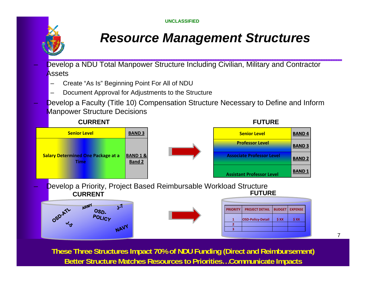

### *Resource Management Structures*

 Develop a NDU Total Manpower Structure Including Civilian, Military and Contractor **Assets** 

Create "As Is" Beginning Point For All of NDU

**POLICY** 

NAVY

- Document Approval for Adjustments to the Structure
- Develop a Faculty (Title 10) Compensation Structure Necessary to Define and Inform **Manpower Structure Decisions**



**Better Structure Matches Resources to Priorities...Communicate Impacts These Three Structures Impact 70% of NDU Funding (Direct and Reimbursement)**  7

**<sup>1</sup> OSD‐Policy‐Detail \$ XX \$ XX**

**2 3**